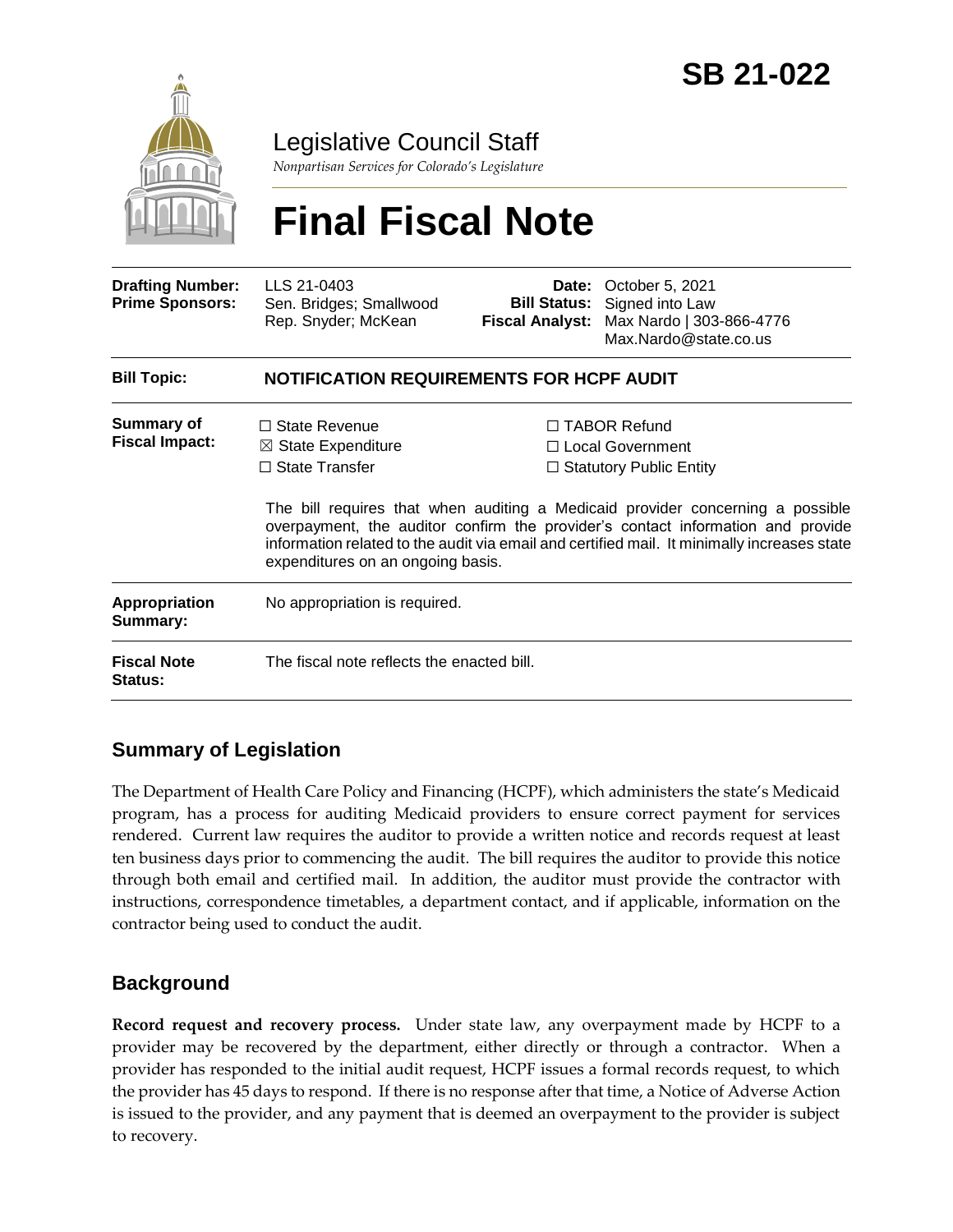

Legislative Council Staff

*Nonpartisan Services for Colorado's Legislature*

# **Final Fiscal Note**

| <b>Drafting Number:</b><br><b>Prime Sponsors:</b> | LLS 21-0403<br>Sen. Bridges; Smallwood<br>Rep. Snyder; McKean                                                  | <b>Fiscal Analyst:</b> | <b>Date:</b> October 5, 2021<br><b>Bill Status:</b> Signed into Law<br>Max Nardo   303-866-4776<br>Max.Nardo@state.co.us                                                                                                                                                                                                                        |  |
|---------------------------------------------------|----------------------------------------------------------------------------------------------------------------|------------------------|-------------------------------------------------------------------------------------------------------------------------------------------------------------------------------------------------------------------------------------------------------------------------------------------------------------------------------------------------|--|
| <b>Bill Topic:</b>                                | <b>NOTIFICATION REQUIREMENTS FOR HCPF AUDIT</b>                                                                |                        |                                                                                                                                                                                                                                                                                                                                                 |  |
| <b>Summary of</b><br><b>Fiscal Impact:</b>        | □ State Revenue<br>$\boxtimes$ State Expenditure<br>$\Box$ State Transfer<br>expenditures on an ongoing basis. |                        | $\Box$ TABOR Refund<br>□ Local Government<br>$\Box$ Statutory Public Entity<br>The bill requires that when auditing a Medicaid provider concerning a possible<br>overpayment, the auditor confirm the provider's contact information and provide<br>information related to the audit via email and certified mail. It minimally increases state |  |
| Appropriation<br>Summary:                         | No appropriation is required.                                                                                  |                        |                                                                                                                                                                                                                                                                                                                                                 |  |
| <b>Fiscal Note</b><br>Status:                     | The fiscal note reflects the enacted bill.                                                                     |                        |                                                                                                                                                                                                                                                                                                                                                 |  |

# **Summary of Legislation**

The Department of Health Care Policy and Financing (HCPF), which administers the state's Medicaid program, has a process for auditing Medicaid providers to ensure correct payment for services rendered. Current law requires the auditor to provide a written notice and records request at least ten business days prior to commencing the audit. The bill requires the auditor to provide this notice through both email and certified mail. In addition, the auditor must provide the contractor with instructions, correspondence timetables, a department contact, and if applicable, information on the contractor being used to conduct the audit.

## **Background**

**Record request and recovery process.** Under state law, any overpayment made by HCPF to a provider may be recovered by the department, either directly or through a contractor. When a provider has responded to the initial audit request, HCPF issues a formal records request, to which the provider has 45 days to respond. If there is no response after that time, a Notice of Adverse Action is issued to the provider, and any payment that is deemed an overpayment to the provider is subject to recovery.